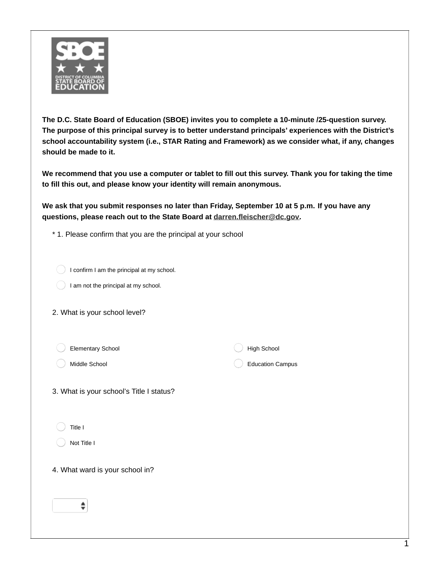

**The D.C. State Board of Education (SBOE) invites you to complete a 10-minute /25-question survey. The purpose of this principal survey is to better understand principals' experiences with the District's school accountability system (i.e., STAR Rating and Framework) as we consider what, if any, changes should be made to it.**

We recommend that you use a computer or tablet to fill out this survey. Thank you for taking the time **to fill this out, and please know your identity will remain anonymous.**

We ask that you submit responses no later than Friday, September 10 at 5 p.m. If you have any **questions, please reach out to the State Board at [darren.fleischer@dc.gov](mailto:darren.fleischer@dc.gov).**

\* 1. Please confirm that you are the principal at your school

| I confirm I am the principal at my school. |  |  |
|--------------------------------------------|--|--|

I am not the principal at my school.

|  |  |  |  | 2. What is your school level? |  |  |
|--|--|--|--|-------------------------------|--|--|
|--|--|--|--|-------------------------------|--|--|

Elementary School

Middle School

High School

Education Campus

|  | 3. What is your school's Title I status? |  |
|--|------------------------------------------|--|
|  |                                          |  |

Title I

Not Title I

4. What ward is your school in?

 $\hat{\mathbf{z}}$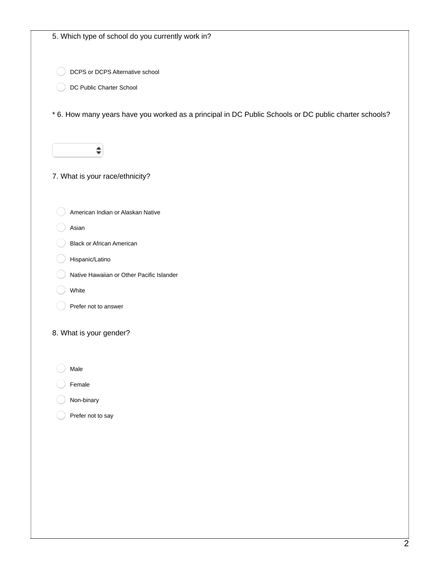| 5. Which type of school do you currently work in?                                                     |
|-------------------------------------------------------------------------------------------------------|
|                                                                                                       |
|                                                                                                       |
| DCPS or DCPS Alternative school                                                                       |
| DC Public Charter School                                                                              |
| * 6. How many years have you worked as a principal in DC Public Schools or DC public charter schools? |
|                                                                                                       |
| 7. What is your race/ethnicity?                                                                       |
| American Indian or Alaskan Native                                                                     |
| Asian                                                                                                 |
| <b>Black or African American</b>                                                                      |
| Hispanic/Latino                                                                                       |
| Native Hawaiian or Other Pacific Islander                                                             |
| White                                                                                                 |
| Prefer not to answer                                                                                  |
| 8. What is your gender?                                                                               |
| Male                                                                                                  |
| Female                                                                                                |
| Non-binary                                                                                            |
| Prefer not to say                                                                                     |
|                                                                                                       |
|                                                                                                       |
|                                                                                                       |
|                                                                                                       |
|                                                                                                       |
|                                                                                                       |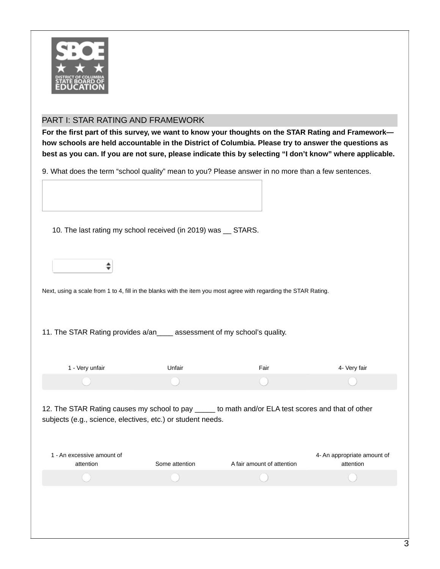

## PART I: STAR RATING AND FRAMEWORK

For the first part of this survey, we want to know your thoughts on the STAR Rating and Framework**how schools are held accountable in the District of Columbia. Please try to answer the questions as** best as you can. If you are not sure, please indicate this by selecting "I don't know" where applicable.

9. What does the term "school quality" mean to you? Please answer in no more than a few sentences.

| 10. The last rating my school received (in 2019) was __ STARS.                                                                                                                                                                 |                                                                           |                            |              |  |  |  |  |
|--------------------------------------------------------------------------------------------------------------------------------------------------------------------------------------------------------------------------------|---------------------------------------------------------------------------|----------------------------|--------------|--|--|--|--|
|                                                                                                                                                                                                                                |                                                                           |                            |              |  |  |  |  |
| Next, using a scale from 1 to 4, fill in the blanks with the item you most agree with regarding the STAR Rating.                                                                                                               |                                                                           |                            |              |  |  |  |  |
|                                                                                                                                                                                                                                | 11. The STAR Rating provides a/an ____ assessment of my school's quality. |                            |              |  |  |  |  |
| 1 - Very unfair                                                                                                                                                                                                                | Unfair                                                                    | Fair                       | 4- Very fair |  |  |  |  |
|                                                                                                                                                                                                                                |                                                                           |                            |              |  |  |  |  |
| 12. The STAR Rating causes my school to pay _____ to math and/or ELA test scores and that of other<br>subjects (e.g., science, electives, etc.) or student needs.<br>1 - An excessive amount of<br>4- An appropriate amount of |                                                                           |                            |              |  |  |  |  |
| attention                                                                                                                                                                                                                      | Some attention                                                            | A fair amount of attention | attention    |  |  |  |  |
|                                                                                                                                                                                                                                |                                                                           |                            |              |  |  |  |  |
|                                                                                                                                                                                                                                |                                                                           |                            |              |  |  |  |  |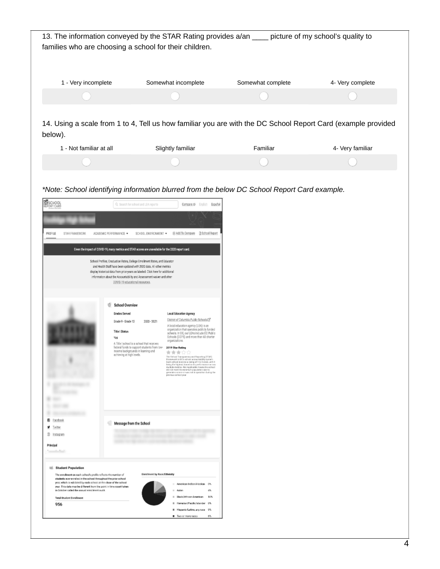|                     |                                                        | picture of my school's quality to                                                                                                                                             |
|---------------------|--------------------------------------------------------|-------------------------------------------------------------------------------------------------------------------------------------------------------------------------------|
| Somewhat incomplete | Somewhat complete                                      | 4- Very complete                                                                                                                                                              |
|                     |                                                        |                                                                                                                                                                               |
|                     |                                                        |                                                                                                                                                                               |
| Slightly familiar   | Familiar                                               | 4- Very familiar                                                                                                                                                              |
|                     |                                                        |                                                                                                                                                                               |
|                     | families who are choosing a school for their children. | 13. The information conveyed by the STAR Rating provides a/an<br>14. Using a scale from 1 to 4, Tell us how familiar you are with the DC School Report Card (example provided |

*\*Note: School identifying information blurred from the below DC School Report Card example.*

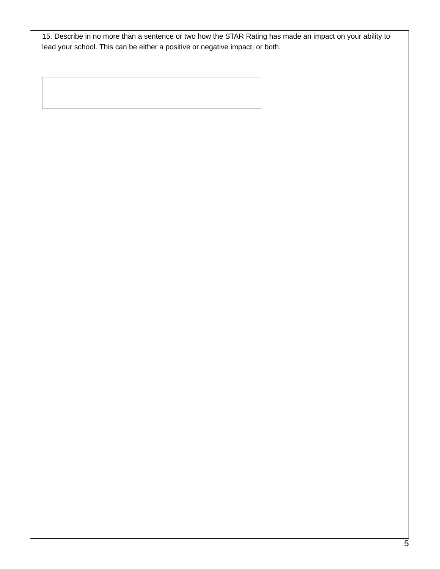15. Describe in no more than a sentence or two how the STAR Rating has made an impact on your ability to lead your school. This can be either a positive or negative impact, or both.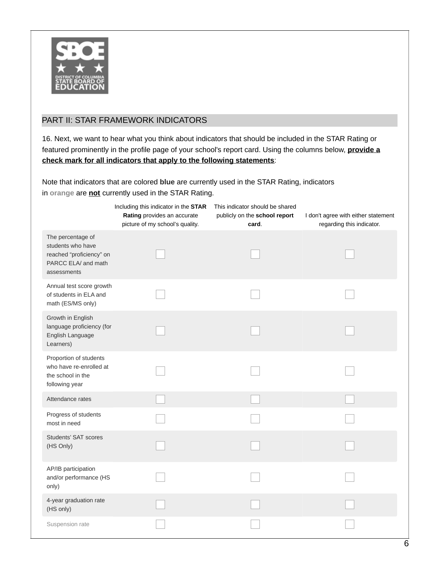

## PART II: STAR FRAMEWORK INDICATORS

16. Next, we want to hear what you think about indicators that should be included in the STAR Rating or featured prominently in the profile page of your school's report card. Using the columns below, **provide a check mark for all indicators that apply to the following statements**:

Note that indicators that are colored **blue** are currently used in the STAR Rating, indicators in **orange** are **not** currently used in the STAR Rating.

|                                                                                                          | Including this indicator in the STAR<br>Rating provides an accurate<br>picture of my school's quality. | This indicator should be shared<br>publicly on the school report<br>card. | I don't agree with either statement<br>regarding this indicator. |
|----------------------------------------------------------------------------------------------------------|--------------------------------------------------------------------------------------------------------|---------------------------------------------------------------------------|------------------------------------------------------------------|
| The percentage of<br>students who have<br>reached "proficiency" on<br>PARCC ELA/ and math<br>assessments |                                                                                                        |                                                                           |                                                                  |
| Annual test score growth<br>of students in ELA and<br>math (ES/MS only)                                  |                                                                                                        |                                                                           |                                                                  |
| Growth in English<br>language proficiency (for<br>English Language<br>Learners)                          |                                                                                                        |                                                                           |                                                                  |
| Proportion of students<br>who have re-enrolled at<br>the school in the<br>following year                 |                                                                                                        |                                                                           |                                                                  |
| Attendance rates                                                                                         |                                                                                                        |                                                                           |                                                                  |
| Progress of students<br>most in need                                                                     |                                                                                                        |                                                                           |                                                                  |
| Students' SAT scores<br>(HS Only)                                                                        |                                                                                                        |                                                                           |                                                                  |
| AP/IB participation<br>and/or performance (HS<br>only)                                                   |                                                                                                        |                                                                           |                                                                  |
| 4-year graduation rate<br>(HS only)                                                                      |                                                                                                        |                                                                           |                                                                  |
| Suspension rate                                                                                          |                                                                                                        |                                                                           |                                                                  |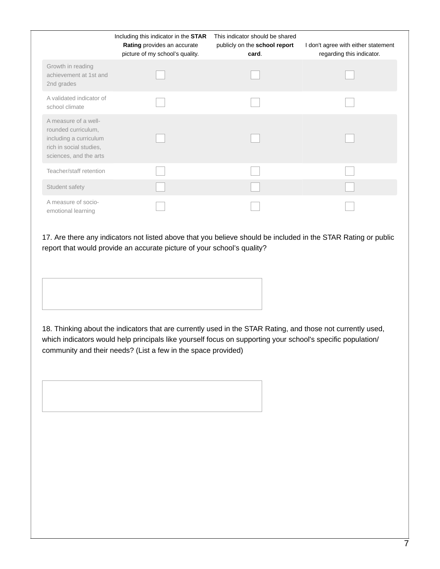|                                                                                                                            | Including this indicator in the STAR<br>Rating provides an accurate<br>picture of my school's quality. | This indicator should be shared<br>publicly on the school report<br>card. | I don't agree with either statement<br>regarding this indicator. |
|----------------------------------------------------------------------------------------------------------------------------|--------------------------------------------------------------------------------------------------------|---------------------------------------------------------------------------|------------------------------------------------------------------|
| Growth in reading<br>achievement at 1st and<br>2nd grades                                                                  |                                                                                                        |                                                                           |                                                                  |
| A validated indicator of<br>school climate                                                                                 |                                                                                                        |                                                                           |                                                                  |
| A measure of a well-<br>rounded curriculum,<br>including a curriculum<br>rich in social studies.<br>sciences, and the arts |                                                                                                        |                                                                           |                                                                  |
| Teacher/staff retention                                                                                                    |                                                                                                        |                                                                           |                                                                  |
| Student safety                                                                                                             |                                                                                                        |                                                                           |                                                                  |
| A measure of socio-<br>emotional learning                                                                                  |                                                                                                        |                                                                           |                                                                  |

17. Are there any indicators not listed above that you believe should be included in the STAR Rating or public report that would provide an accurate picture of your school's quality?

18. Thinking about the indicators that are currently used in the STAR Rating, and those not currently used, which indicators would help principals like yourself focus on supporting your school's specific population/ community and their needs? (List a few in the space provided)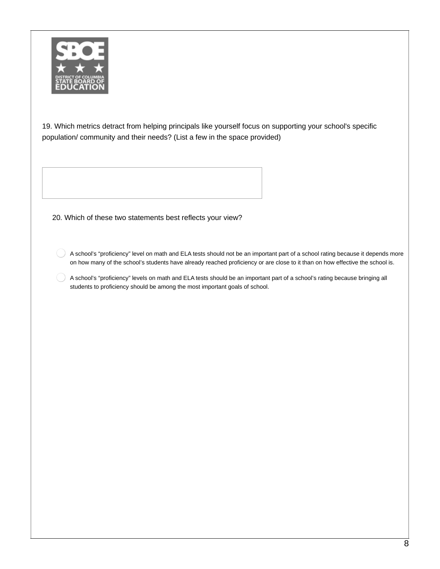

19. Which metrics detract from helping principals like yourself focus on supporting your school's specific population/ community and their needs? (List a few in the space provided)

20. Which of these two statements best reflects your view?

 $\left( \quad \right)$ A school's "proficiency" level on math and ELA tests should not be an important part of a school rating because it depends more on how many of the school's students have already reached proficiency or are close to it than on how effective the school is.

A school's "proficiency" levels on math and ELA tests should be an important part of a school's rating because bringing all students to proficiency should be among the most important goals of school.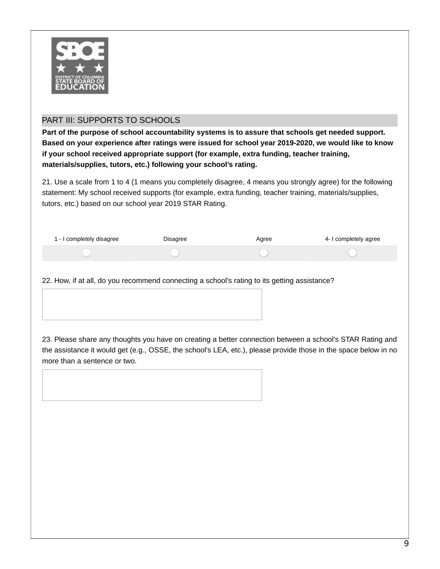

## PART III: SUPPORTS TO SCHOOLS

**Part of the purpose of school accountability systems is to assure that schools get needed support. Based on your experience after ratings were issued for school year 2019-2020, we would like to know if your school received appropriate support (for example, extra funding, teacher training, materials/supplies, tutors, etc.) following your school's rating.**

21. Use a scale from 1 to 4 (1 means you completely disagree, 4 means you strongly agree) for the following statement: My school received supports (for example, extra funding, teacher training, materials/supplies, tutors, etc.) based on our school year 2019 STAR Rating.

| 1 - I completely disagree | Disagree | Agree | 4- I completely agree |
|---------------------------|----------|-------|-----------------------|
|                           |          |       |                       |

22. How, if at all, do you recommend connecting a school's rating to its getting assistance?

23. Please share any thoughts you have on creating a better connection between a school's STAR Rating and the assistance it would get (e.g., OSSE, the school's LEA, etc.), please provide those in the space below in no more than a sentence or two.